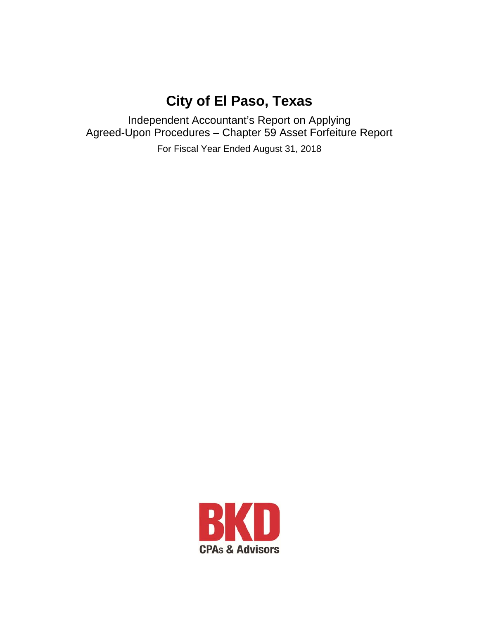## **City of El Paso, Texas**

Independent Accountant's Report on Applying Agreed-Upon Procedures – Chapter 59 Asset Forfeiture Report

For Fiscal Year Ended August 31, 2018

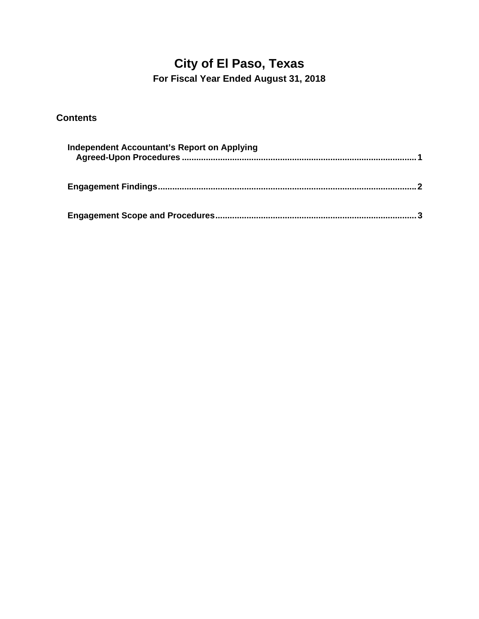# **City of El Paso, Texas**

**For Fiscal Year Ended August 31, 2018** 

### **Contents**

| <b>Independent Accountant's Report on Applying</b> |  |
|----------------------------------------------------|--|
|                                                    |  |
|                                                    |  |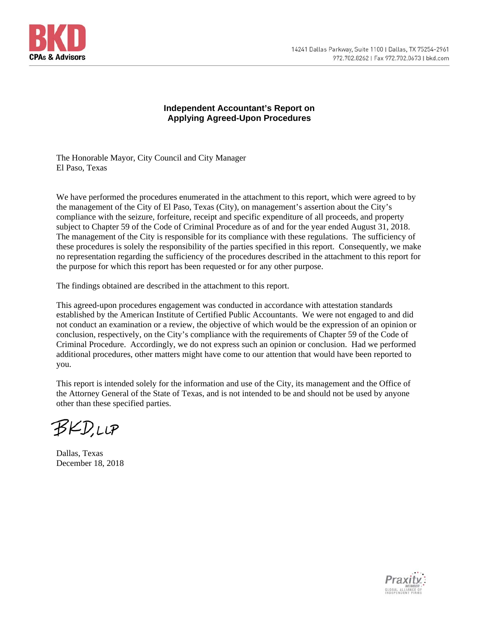

#### **Independent Accountant's Report on Applying Agreed-Upon Procedures**

The Honorable Mayor, City Council and City Manager El Paso, Texas

We have performed the procedures enumerated in the attachment to this report, which were agreed to by the management of the City of El Paso, Texas (City), on management's assertion about the City's compliance with the seizure, forfeiture, receipt and specific expenditure of all proceeds, and property subject to Chapter 59 of the Code of Criminal Procedure as of and for the year ended August 31, 2018. The management of the City is responsible for its compliance with these regulations. The sufficiency of these procedures is solely the responsibility of the parties specified in this report. Consequently, we make no representation regarding the sufficiency of the procedures described in the attachment to this report for the purpose for which this report has been requested or for any other purpose.

The findings obtained are described in the attachment to this report.

This agreed-upon procedures engagement was conducted in accordance with attestation standards established by the American Institute of Certified Public Accountants. We were not engaged to and did not conduct an examination or a review, the objective of which would be the expression of an opinion or conclusion, respectively, on the City's compliance with the requirements of Chapter 59 of the Code of Criminal Procedure. Accordingly, we do not express such an opinion or conclusion. Had we performed additional procedures, other matters might have come to our attention that would have been reported to you.

This report is intended solely for the information and use of the City, its management and the Office of the Attorney General of the State of Texas, and is not intended to be and should not be used by anyone other than these specified parties.

BKD.LLP

Dallas, Texas December 18, 2018

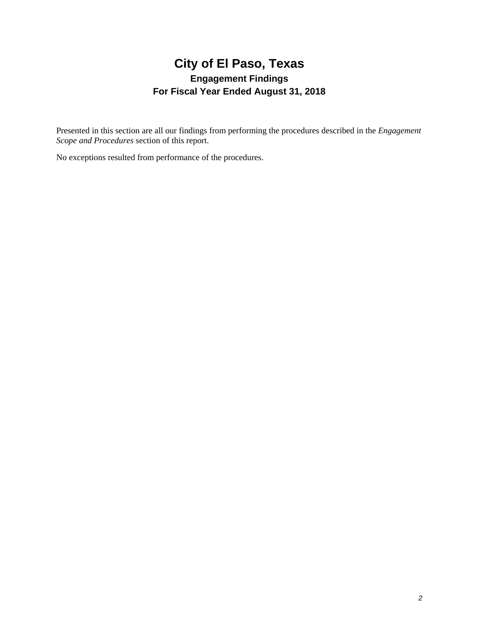## **City of El Paso, Texas Engagement Findings For Fiscal Year Ended August 31, 2018**

Presented in this section are all our findings from performing the procedures described in the *Engagement Scope and Procedures* section of this report.

No exceptions resulted from performance of the procedures.